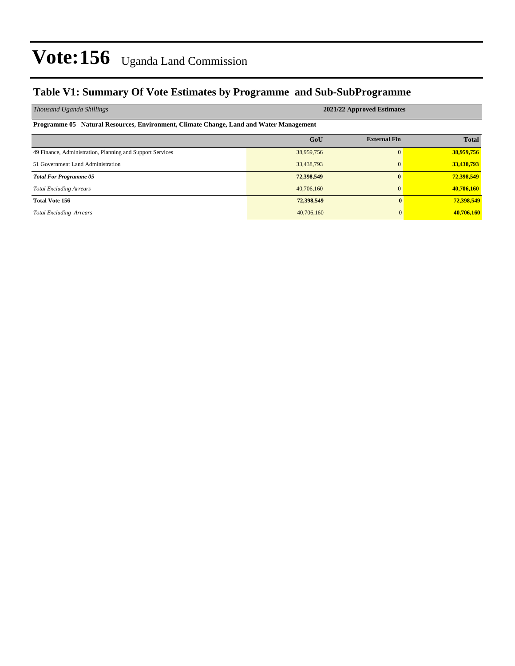### **Table V1: Summary Of Vote Estimates by Programme and Sub-SubProgramme**

| Thousand Uganda Shillings                                                              | 2021/22 Approved Estimates |                     |              |  |  |  |  |  |  |  |  |
|----------------------------------------------------------------------------------------|----------------------------|---------------------|--------------|--|--|--|--|--|--|--|--|
| Programme 05 Natural Resources, Environment, Climate Change, Land and Water Management |                            |                     |              |  |  |  |  |  |  |  |  |
|                                                                                        | GoU                        | <b>External Fin</b> | <b>Total</b> |  |  |  |  |  |  |  |  |
| 49 Finance, Administration, Planning and Support Services                              | 38,959,756                 | $\Omega$            | 38,959,756   |  |  |  |  |  |  |  |  |
| 51 Government Land Administration                                                      | 33,438,793                 | $\Omega$            | 33,438,793   |  |  |  |  |  |  |  |  |
| <b>Total For Programme 05</b>                                                          | 72,398,549                 | $\mathbf{0}$        | 72,398,549   |  |  |  |  |  |  |  |  |
| <b>Total Excluding Arrears</b>                                                         | 40,706,160                 | $\Omega$            | 40,706,160   |  |  |  |  |  |  |  |  |
| <b>Total Vote 156</b>                                                                  | 72,398,549                 | $\mathbf{0}$        | 72,398,549   |  |  |  |  |  |  |  |  |
| <b>Total Excluding Arrears</b>                                                         | 40,706,160                 | $\Omega$            | 40,706,160   |  |  |  |  |  |  |  |  |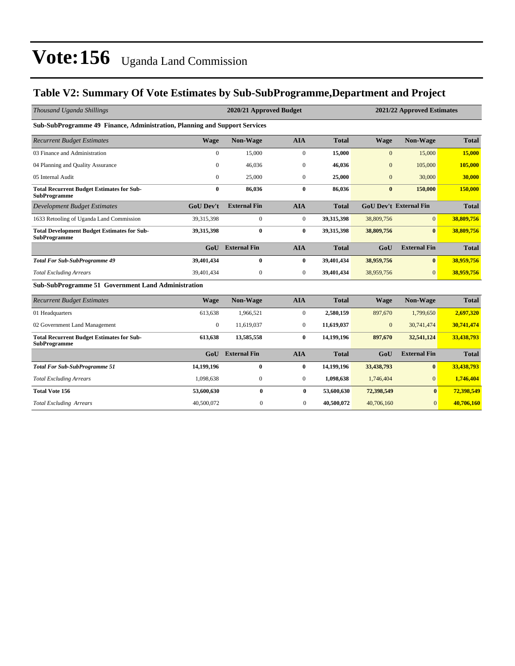### **Table V2: Summary Of Vote Estimates by Sub-SubProgramme,Department and Project**

| Thousand Uganda Shillings                                                  |                  | 2020/21 Approved Budget | 2021/22 Approved Estimates |              |                  |                               |              |
|----------------------------------------------------------------------------|------------------|-------------------------|----------------------------|--------------|------------------|-------------------------------|--------------|
| Sub-SubProgramme 49 Finance, Administration, Planning and Support Services |                  |                         |                            |              |                  |                               |              |
| <b>Recurrent Budget Estimates</b>                                          | <b>Wage</b>      | <b>Non-Wage</b>         | <b>AIA</b>                 | <b>Total</b> | <b>Wage</b>      | Non-Wage                      | <b>Total</b> |
| 03 Finance and Administration                                              | $\mathbf{0}$     | 15,000                  | $\boldsymbol{0}$           | 15,000       | $\mathbf{0}$     | 15,000                        | 15,000       |
| 04 Planning and Quality Assurance                                          | $\theta$         | 46,036                  | $\mathbf{0}$               | 46,036       | $\overline{0}$   | 105,000                       | 105,000      |
| 05 Internal Audit                                                          | $\mathbf{0}$     | 25,000                  | 0                          | 25,000       | $\boldsymbol{0}$ | 30,000                        | 30,000       |
| <b>Total Recurrent Budget Estimates for Sub-</b><br><b>SubProgramme</b>    | $\bf{0}$         | 86,036                  | $\bf{0}$                   | 86,036       | $\bf{0}$         | 150,000                       | 150,000      |
| <b>Development Budget Estimates</b>                                        | <b>GoU Dev't</b> | <b>External Fin</b>     | <b>AIA</b>                 | <b>Total</b> |                  | <b>GoU Dev't External Fin</b> | <b>Total</b> |
| 1633 Retooling of Uganda Land Commission                                   | 39,315,398       | $\mathbf{0}$            | $\boldsymbol{0}$           | 39,315,398   | 38,809,756       | $\overline{0}$                | 38,809,756   |
| <b>Total Development Budget Estimates for Sub-</b><br><b>SubProgramme</b>  | 39,315,398       | $\bf{0}$                | $\bf{0}$                   | 39,315,398   | 38,809,756       | $\mathbf{0}$                  | 38,809,756   |
|                                                                            | G <sub>0</sub> U | <b>External Fin</b>     | <b>AIA</b>                 | <b>Total</b> | GoU              | <b>External Fin</b>           | <b>Total</b> |
| <b>Total For Sub-SubProgramme 49</b>                                       | 39,401,434       | $\bf{0}$                | $\bf{0}$                   | 39,401,434   | 38,959,756       | $\bf{0}$                      | 38,959,756   |
| <b>Total Excluding Arrears</b>                                             | 39,401,434       | $\overline{0}$          | $\overline{0}$             | 39,401,434   | 38,959,756       | $\overline{0}$                | 38,959,756   |
| Sub-SubProgramme 51 Government Land Administration                         |                  |                         |                            |              |                  |                               |              |
| <b>Recurrent Budget Estimates</b>                                          | <b>Wage</b>      | Non-Wage                | <b>AIA</b>                 | <b>Total</b> | <b>Wage</b>      | Non-Wage                      | <b>Total</b> |
| 01 Headquarters                                                            | 613,638          | 1,966,521               | $\overline{0}$             | 2,580,159    | 897,670          | 1,799,650                     | 2,697,320    |
| 02 Government Land Management                                              | $\boldsymbol{0}$ | 11,619,037              | $\overline{0}$             | 11,619,037   | $\mathbf{0}$     | 30,741,474                    | 30,741,474   |
| <b>Total Recurrent Budget Estimates for Sub-</b><br><b>SubProgramme</b>    | 613,638          | 13,585,558              | $\bf{0}$                   | 14,199,196   | 897,670          | 32,541,124                    | 33,438,793   |
|                                                                            | GoU              | <b>External Fin</b>     | <b>AIA</b>                 | <b>Total</b> | GoU              | <b>External Fin</b>           | <b>Total</b> |
| <b>Total For Sub-SubProgramme 51</b>                                       | 14,199,196       | $\bf{0}$                | 0                          | 14,199,196   | 33,438,793       | $\bf{0}$                      | 33,438,793   |
| <b>Total Excluding Arrears</b>                                             | 1,098,638        | $\mathbf{0}$            | 0                          | 1,098,638    | 1,746,404        | $\mathbf{0}$                  | 1,746,404    |
| <b>Total Vote 156</b>                                                      | 53,600,630       | $\bf{0}$                | $\bf{0}$                   | 53,600,630   | 72,398,549       | $\bf{0}$                      | 72,398,549   |
| <b>Total Excluding Arrears</b>                                             | 40,500,072       | 0                       | $\mathbf{0}$               | 40,500,072   | 40,706,160       | $\overline{0}$                | 40,706,160   |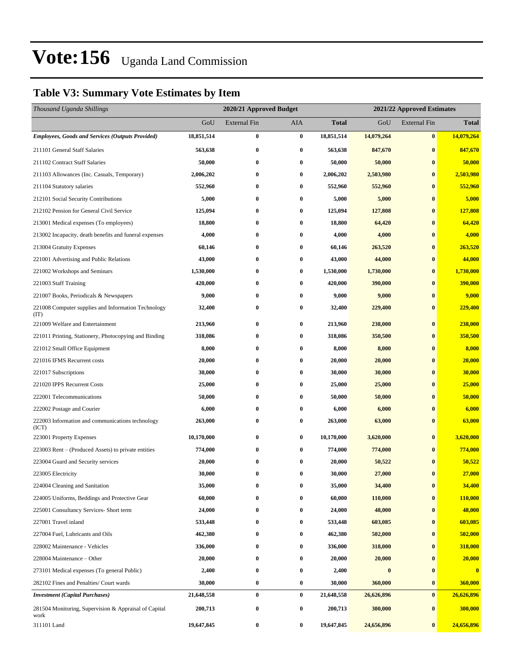### **Table V3: Summary Vote Estimates by Item**

| Thousand Uganda Shillings                                     |            |                     | 2020/21 Approved Budget<br>2021/22 Approved Estimates |              |            |                     |              |
|---------------------------------------------------------------|------------|---------------------|-------------------------------------------------------|--------------|------------|---------------------|--------------|
|                                                               | GoU        | <b>External Fin</b> | <b>AIA</b>                                            | <b>Total</b> | GoU        | <b>External Fin</b> | <b>Total</b> |
| <b>Employees, Goods and Services (Outputs Provided)</b>       | 18,851,514 | $\bf{0}$            | $\bf{0}$                                              | 18,851,514   | 14,079,264 | $\bf{0}$            | 14,079,264   |
| 211101 General Staff Salaries                                 | 563,638    | $\bf{0}$            | $\bf{0}$                                              | 563,638      | 847,670    | $\bf{0}$            | 847,670      |
| 211102 Contract Staff Salaries                                | 50,000     | $\bf{0}$            | $\bf{0}$                                              | 50,000       | 50,000     | $\bf{0}$            | 50,000       |
| 211103 Allowances (Inc. Casuals, Temporary)                   | 2,006,202  | $\bf{0}$            | $\bf{0}$                                              | 2,006,202    | 2,503,980  | $\bf{0}$            | 2,503,980    |
| 211104 Statutory salaries                                     | 552,960    | $\bf{0}$            | $\bf{0}$                                              | 552,960      | 552,960    | $\bf{0}$            | 552,960      |
| 212101 Social Security Contributions                          | 5,000      | $\bf{0}$            | $\bf{0}$                                              | 5,000        | 5,000      | $\bf{0}$            | 5,000        |
| 212102 Pension for General Civil Service                      | 125,094    | $\bf{0}$            | $\bf{0}$                                              | 125,094      | 127,808    | $\bf{0}$            | 127,808      |
| 213001 Medical expenses (To employees)                        | 18,800     | $\bf{0}$            | $\bf{0}$                                              | 18,800       | 64,420     | $\bf{0}$            | 64,420       |
| 213002 Incapacity, death benefits and funeral expenses        | 4,000      | $\bf{0}$            | $\bf{0}$                                              | 4,000        | 4,000      | $\bf{0}$            | 4,000        |
| 213004 Gratuity Expenses                                      | 60,146     | $\bf{0}$            | $\bf{0}$                                              | 60,146       | 263,520    | $\bf{0}$            | 263,520      |
| 221001 Advertising and Public Relations                       | 43,000     | $\bf{0}$            | $\bf{0}$                                              | 43,000       | 44,000     | $\bf{0}$            | 44,000       |
| 221002 Workshops and Seminars                                 | 1,530,000  | $\bf{0}$            | $\bf{0}$                                              | 1,530,000    | 1,730,000  | $\bf{0}$            | 1,730,000    |
| 221003 Staff Training                                         | 420,000    | $\bf{0}$            | $\bf{0}$                                              | 420,000      | 390,000    | $\bf{0}$            | 390,000      |
| 221007 Books, Periodicals & Newspapers                        | 9,000      | $\bf{0}$            | $\bf{0}$                                              | 9,000        | 9,000      | $\bf{0}$            | 9,000        |
| 221008 Computer supplies and Information Technology<br>(TT)   | 32,400     | $\bf{0}$            | $\bf{0}$                                              | 32,400       | 229,400    | $\bf{0}$            | 229,400      |
| 221009 Welfare and Entertainment                              | 213,960    | 0                   | $\bf{0}$                                              | 213,960      | 238,000    | $\bf{0}$            | 238,000      |
| 221011 Printing, Stationery, Photocopying and Binding         | 318,086    | $\bf{0}$            | $\bf{0}$                                              | 318,086      | 350,500    | $\bf{0}$            | 350,500      |
| 221012 Small Office Equipment                                 | 8,000      | $\bf{0}$            | $\bf{0}$                                              | 8,000        | 8,000      | $\bf{0}$            | 8,000        |
| 221016 IFMS Recurrent costs                                   | 20,000     | $\bf{0}$            | $\bf{0}$                                              | 20,000       | 20,000     | $\bf{0}$            | 20,000       |
| 221017 Subscriptions                                          | 30,000     | $\bf{0}$            | $\bf{0}$                                              | 30,000       | 30,000     | $\bf{0}$            | 30,000       |
| 221020 IPPS Recurrent Costs                                   | 25,000     | 0                   | $\bf{0}$                                              | 25,000       | 25,000     | $\bf{0}$            | 25,000       |
| 222001 Telecommunications                                     | 50,000     | $\bf{0}$            | $\bf{0}$                                              | 50,000       | 50,000     | $\bf{0}$            | 50,000       |
| 222002 Postage and Courier                                    | 6,000      | $\bf{0}$            | $\bf{0}$                                              | 6,000        | 6,000      | $\bf{0}$            | 6,000        |
| 222003 Information and communications technology<br>(ICT)     | 263,000    | $\bf{0}$            | $\bf{0}$                                              | 263,000      | 63,000     | $\bf{0}$            | 63,000       |
| 223001 Property Expenses                                      | 10,170,000 | $\bf{0}$            | $\bf{0}$                                              | 10,170,000   | 3,620,000  | $\bf{0}$            | 3,620,000    |
| 223003 Rent - (Produced Assets) to private entities           | 774,000    | $\bf{0}$            | $\bf{0}$                                              | 774,000      | 774,000    | $\bf{0}$            | 774,000      |
| 223004 Guard and Security services                            | 20,000     | 0                   | $\bf{0}$                                              | 20,000       | 50,522     | $\bf{0}$            | 50,522       |
| 223005 Electricity                                            | 30,000     | $\bf{0}$            | $\bf{0}$                                              | 30,000       | 27,000     | $\bf{0}$            | 27,000       |
| 224004 Cleaning and Sanitation                                | 35,000     | 0                   | $\bf{0}$                                              | 35,000       | 34,400     | $\bf{0}$            | 34,400       |
| 224005 Uniforms, Beddings and Protective Gear                 | 60,000     | 0                   | $\bf{0}$                                              | 60,000       | 110,000    | $\bf{0}$            | 110,000      |
| 225001 Consultancy Services- Short term                       | 24,000     | $\bf{0}$            | $\boldsymbol{0}$                                      | 24,000       | 48,000     | $\bf{0}$            | 48,000       |
| 227001 Travel inland                                          | 533,448    | 0                   | $\bf{0}$                                              | 533,448      | 603,085    | $\bf{0}$            | 603,085      |
| 227004 Fuel, Lubricants and Oils                              | 462,380    | $\bf{0}$            | $\bf{0}$                                              | 462,380      | 502,000    | $\bf{0}$            | 502,000      |
| 228002 Maintenance - Vehicles                                 | 336,000    | 0                   | $\bf{0}$                                              | 336,000      | 318,000    | $\bf{0}$            | 318,000      |
| 228004 Maintenance – Other                                    | 20,000     | 0                   | $\bf{0}$                                              | 20,000       | 20,000     | $\bf{0}$            | 20,000       |
| 273101 Medical expenses (To general Public)                   | 2,400      | $\bf{0}$            | $\bf{0}$                                              | 2,400        | $\pmb{0}$  | $\bf{0}$            | $\bf{0}$     |
| 282102 Fines and Penalties/ Court wards                       | 30,000     | $\bf{0}$            | $\bf{0}$                                              | 30,000       | 360,000    | $\bf{0}$            | 360,000      |
| <b>Investment</b> (Capital Purchases)                         | 21,648,558 | $\pmb{0}$           | $\boldsymbol{0}$                                      | 21,648,558   | 26,626,896 | $\bf{0}$            | 26,626,896   |
| 281504 Monitoring, Supervision & Appraisal of Capital<br>work | 200,713    | $\boldsymbol{0}$    | $\bf{0}$                                              | 200,713      | 300,000    | $\bf{0}$            | 300,000      |
| 311101 Land                                                   | 19,647,845 | $\pmb{0}$           | $\bf{0}$                                              | 19,647,845   | 24,656,896 | $\bf{0}$            | 24,656,896   |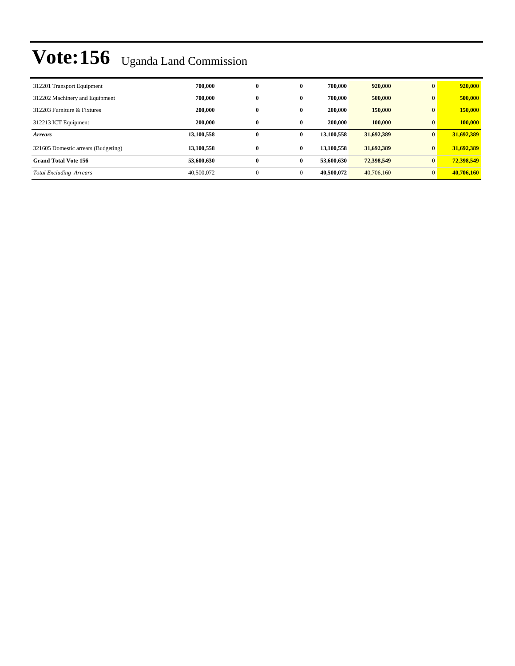| 312201 Transport Equipment          | 700.000    | $\bf{0}$     | $\mathbf{0}$ | 700,000    | 920,000    | $\bf{0}$     | 920,000    |
|-------------------------------------|------------|--------------|--------------|------------|------------|--------------|------------|
| 312202 Machinery and Equipment      | 700.000    | $\bf{0}$     | $\mathbf{0}$ | 700,000    | 500,000    | $\mathbf{0}$ | 500,000    |
| 312203 Furniture & Fixtures         | 200,000    | $\bf{0}$     | $\mathbf{0}$ | 200,000    | 150,000    | $\bf{0}$     | 150,000    |
| 312213 ICT Equipment                | 200,000    | $\bf{0}$     | $\mathbf{0}$ | 200,000    | 100,000    | $\bf{0}$     | 100,000    |
| <b>Arrears</b>                      | 13,100,558 | $\bf{0}$     | $\mathbf{0}$ | 13,100,558 | 31,692,389 | $\bf{0}$     | 31,692,389 |
| 321605 Domestic arrears (Budgeting) | 13,100,558 | $\bf{0}$     | $\bf{0}$     | 13.100.558 | 31,692,389 | $\bf{0}$     | 31,692,389 |
| <b>Grand Total Vote 156</b>         | 53,600,630 | $\bf{0}$     | $\bf{0}$     | 53,600,630 | 72,398,549 | $\bf{0}$     | 72,398,549 |
| <b>Total Excluding Arrears</b>      | 40,500,072 | $\mathbf{0}$ | $\mathbf{0}$ | 40.500.072 | 40,706,160 | $\Omega$     | 40,706,160 |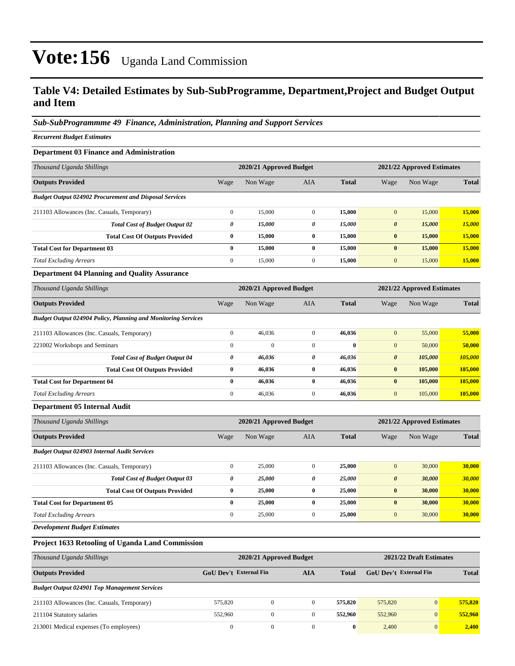### **Table V4: Detailed Estimates by Sub-SubProgramme, Department,Project and Budget Output and Item**

#### *Sub-SubProgrammme 49 Finance, Administration, Planning and Support Services*

*Recurrent Budget Estimates*

#### **Department 03 Finance and Administration**

| Thousand Uganda Shillings                                     |              | 2020/21 Approved Budget |              | 2021/22 Approved Estimates |                       |          |              |
|---------------------------------------------------------------|--------------|-------------------------|--------------|----------------------------|-----------------------|----------|--------------|
| <b>Outputs Provided</b>                                       | Wage         | Non Wage                | <b>AIA</b>   | <b>Total</b>               | Wage                  | Non Wage | <b>Total</b> |
| <b>Budget Output 024902 Procurement and Disposal Services</b> |              |                         |              |                            |                       |          |              |
| 211103 Allowances (Inc. Casuals, Temporary)                   | $\Omega$     | 15,000                  | $\mathbf{0}$ | 15,000                     | $\mathbf{0}$          | 15,000   | 15,000       |
| <b>Total Cost of Budget Output 02</b>                         | 0            | 15,000                  | 0            | 15,000                     | $\boldsymbol{\theta}$ | 15,000   | 15,000       |
| <b>Total Cost Of Outputs Provided</b>                         | $\bf{0}$     | 15,000                  | $\bf{0}$     | 15,000                     | $\bf{0}$              | 15,000   | 15,000       |
| <b>Total Cost for Department 03</b>                           | 0            | 15,000                  | $\mathbf{0}$ | 15,000                     | $\bf{0}$              | 15,000   | 15,000       |
| <b>Total Excluding Arrears</b>                                | $\mathbf{0}$ | 15,000                  | $\mathbf{0}$ | 15,000                     | $\mathbf{0}$          | 15,000   | 15,000       |

#### **Department 04 Planning and Quality Assurance**

| Thousand Uganda Shillings                                            |                | 2020/21 Approved Budget |              |              |                       | 2021/22 Approved Estimates |              |  |  |
|----------------------------------------------------------------------|----------------|-------------------------|--------------|--------------|-----------------------|----------------------------|--------------|--|--|
| <b>Outputs Provided</b>                                              | Wage           | Non Wage                | AIA          | <b>Total</b> | Wage                  | Non Wage                   | <b>Total</b> |  |  |
| <b>Budget Output 024904 Policy, Planning and Monitoring Services</b> |                |                         |              |              |                       |                            |              |  |  |
| 211103 Allowances (Inc. Casuals, Temporary)                          | $\mathbf{0}$   | 46,036                  | $\mathbf{0}$ | 46,036       | $\mathbf{0}$          | 55,000                     | 55,000       |  |  |
| 221002 Workshops and Seminars                                        | $\overline{0}$ | $\mathbf{0}$            | $\mathbf{0}$ | $\bf{0}$     | $\mathbf{0}$          | 50,000                     | 50,000       |  |  |
| <b>Total Cost of Budget Output 04</b>                                | 0              | 46,036                  | 0            | 46,036       | $\boldsymbol{\theta}$ | 105,000                    | 105,000      |  |  |
| <b>Total Cost Of Outputs Provided</b>                                | $\bf{0}$       | 46,036                  | $\bf{0}$     | 46.036       | $\bf{0}$              | 105,000                    | 105,000      |  |  |
| <b>Total Cost for Department 04</b>                                  | $\bf{0}$       | 46,036                  | $\mathbf{0}$ | 46,036       | $\bf{0}$              | 105,000                    | 105,000      |  |  |
| <b>Total Excluding Arrears</b>                                       | $\mathbf{0}$   | 46,036                  | $\mathbf{0}$ | 46.036       | $\mathbf{0}$          | 105,000                    | 105,000      |  |  |

#### **Department 05 Internal Audit**

| Thousand Uganda Shillings                           | 2020/21 Approved Budget |          |              |              | 2021/22 Approved Estimates |          |              |
|-----------------------------------------------------|-------------------------|----------|--------------|--------------|----------------------------|----------|--------------|
| <b>Outputs Provided</b>                             | Wage                    | Non Wage | <b>AIA</b>   | <b>Total</b> | Wage                       | Non Wage | <b>Total</b> |
| <b>Budget Output 024903 Internal Audit Services</b> |                         |          |              |              |                            |          |              |
| 211103 Allowances (Inc. Casuals, Temporary)         | $\mathbf{0}$            | 25,000   | $\mathbf{0}$ | 25,000       | $\mathbf{0}$               | 30,000   | 30,000       |
| <b>Total Cost of Budget Output 03</b>               | 0                       | 25,000   | 0            | 25,000       | $\boldsymbol{\theta}$      | 30,000   | 30,000       |
| <b>Total Cost Of Outputs Provided</b>               | $\bf{0}$                | 25,000   | $\bf{0}$     | 25,000       | $\bf{0}$                   | 30,000   | 30,000       |
| <b>Total Cost for Department 05</b>                 | $\bf{0}$                | 25,000   | $\bf{0}$     | 25,000       | $\bf{0}$                   | 30,000   | 30,000       |
| <b>Total Excluding Arrears</b>                      | $\mathbf{0}$            | 25,000   | $\mathbf{0}$ | 25,000       | $\mathbf{0}$               | 30,000   | 30,000       |
|                                                     |                         |          |              |              |                            |          |              |

*Development Budget Estimates*

#### **Project 1633 Retooling of Uganda Land Commission**

| Thousand Uganda Shillings                           |                        | 2020/21 Approved Budget |          |          | 2021/22 Draft Estimates |                |              |  |
|-----------------------------------------------------|------------------------|-------------------------|----------|----------|-------------------------|----------------|--------------|--|
| <b>Outputs Provided</b>                             | GoU Dev't External Fin |                         | AIA      | Total    | GoU Dev't External Fin  |                | <b>Total</b> |  |
| <b>Budget Output 024901 Top Management Services</b> |                        |                         |          |          |                         |                |              |  |
| 211103 Allowances (Inc. Casuals, Temporary)         | 575.820                | 0                       | $\Omega$ | 575,820  | 575,820                 | $\overline{0}$ | 575,820      |  |
| 211104 Statutory salaries                           | 552,960                | $\Omega$                | $\Omega$ | 552,960  | 552,960                 | $\overline{0}$ | 552,960      |  |
| 213001 Medical expenses (To employees)              | $\Omega$               | $\Omega$                | $\Omega$ | $\bf{0}$ | 2.400                   | $\overline{0}$ | 2,400        |  |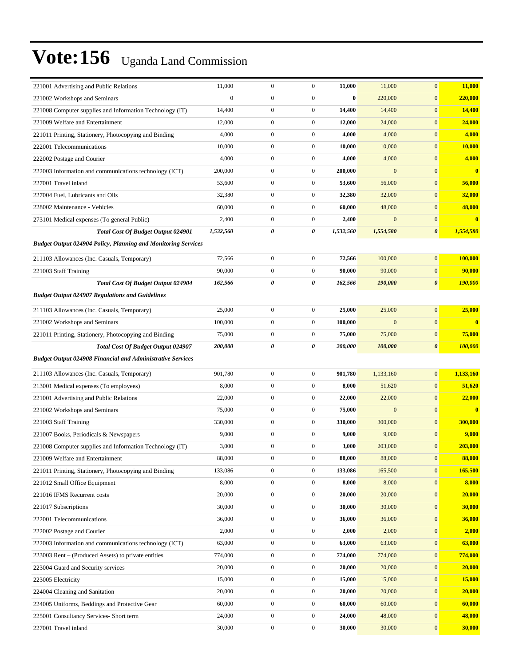| 221001 Advertising and Public Relations                              | 11,000       | $\boldsymbol{0}$ | $\boldsymbol{0}$ | 11,000    | 11,000           | $\mathbf{0}$          | 11,000                  |
|----------------------------------------------------------------------|--------------|------------------|------------------|-----------|------------------|-----------------------|-------------------------|
| 221002 Workshops and Seminars                                        | $\mathbf{0}$ | $\boldsymbol{0}$ | $\boldsymbol{0}$ | $\bf{0}$  | 220,000          | $\mathbf{0}$          | 220,000                 |
| 221008 Computer supplies and Information Technology (IT)             | 14,400       | $\boldsymbol{0}$ | $\boldsymbol{0}$ | 14,400    | 14,400           | $\boldsymbol{0}$      | 14,400                  |
| 221009 Welfare and Entertainment                                     | 12,000       | $\boldsymbol{0}$ | $\boldsymbol{0}$ | 12,000    | 24,000           | $\mathbf{0}$          | 24,000                  |
| 221011 Printing, Stationery, Photocopying and Binding                | 4,000        | $\boldsymbol{0}$ | $\boldsymbol{0}$ | 4,000     | 4,000            | $\mathbf{0}$          | 4,000                   |
| 222001 Telecommunications                                            | 10,000       | $\boldsymbol{0}$ | $\boldsymbol{0}$ | 10,000    | 10,000           | $\boldsymbol{0}$      | 10,000                  |
| 222002 Postage and Courier                                           | 4,000        | $\boldsymbol{0}$ | $\boldsymbol{0}$ | 4,000     | 4,000            | $\mathbf{0}$          | 4,000                   |
| 222003 Information and communications technology (ICT)               | 200,000      | $\boldsymbol{0}$ | $\boldsymbol{0}$ | 200,000   | $\boldsymbol{0}$ | $\boldsymbol{0}$      | $\bf{0}$                |
| 227001 Travel inland                                                 | 53,600       | $\boldsymbol{0}$ | $\boldsymbol{0}$ | 53,600    | 56,000           | $\mathbf{0}$          | 56,000                  |
| 227004 Fuel, Lubricants and Oils                                     | 32,380       | $\boldsymbol{0}$ | $\boldsymbol{0}$ | 32,380    | 32,000           | $\mathbf{0}$          | 32,000                  |
| 228002 Maintenance - Vehicles                                        | 60,000       | $\boldsymbol{0}$ | $\boldsymbol{0}$ | 60,000    | 48,000           | $\boldsymbol{0}$      | 48,000                  |
| 273101 Medical expenses (To general Public)                          | 2,400        | $\boldsymbol{0}$ | $\boldsymbol{0}$ | 2,400     | $\mathbf{0}$     | $\mathbf{0}$          | $\overline{\mathbf{0}}$ |
| <b>Total Cost Of Budget Output 024901</b>                            | 1,532,560    | 0                | 0                | 1,532,560 | 1,554,580        | 0                     | 1,554,580               |
| <b>Budget Output 024904 Policy, Planning and Monitoring Services</b> |              |                  |                  |           |                  |                       |                         |
| 211103 Allowances (Inc. Casuals, Temporary)                          | 72,566       | $\boldsymbol{0}$ | $\boldsymbol{0}$ | 72,566    | 100,000          | $\mathbf{0}$          | 100,000                 |
| 221003 Staff Training                                                | 90,000       | $\boldsymbol{0}$ | $\boldsymbol{0}$ | 90,000    | 90,000           | $\boldsymbol{0}$      | 90,000                  |
| <b>Total Cost Of Budget Output 024904</b>                            | 162,566      | 0                | 0                | 162,566   | 190,000          | 0                     | <b>190,000</b>          |
| <b>Budget Output 024907 Regulations and Guidelines</b>               |              |                  |                  |           |                  |                       |                         |
| 211103 Allowances (Inc. Casuals, Temporary)                          | 25,000       | $\boldsymbol{0}$ | $\boldsymbol{0}$ | 25,000    | 25,000           | $\boldsymbol{0}$      | 25,000                  |
| 221002 Workshops and Seminars                                        | 100,000      | $\boldsymbol{0}$ | $\boldsymbol{0}$ | 100,000   | $\boldsymbol{0}$ | $\boldsymbol{0}$      | $\bf{0}$                |
| 221011 Printing, Stationery, Photocopying and Binding                | 75,000       | $\boldsymbol{0}$ | $\boldsymbol{0}$ | 75,000    | 75,000           | $\boldsymbol{0}$      | 75,000                  |
| <b>Total Cost Of Budget Output 024907</b>                            | 200,000      | 0                | 0                | 200,000   | 100,000          | $\boldsymbol{\theta}$ | 100,000                 |
|                                                                      |              |                  |                  |           |                  |                       |                         |
|                                                                      |              |                  |                  |           |                  |                       |                         |
| <b>Budget Output 024908 Financial and Administrative Services</b>    |              |                  |                  |           |                  |                       |                         |
| 211103 Allowances (Inc. Casuals, Temporary)                          | 901,780      | $\boldsymbol{0}$ | $\boldsymbol{0}$ | 901,780   | 1,133,160        | $\boldsymbol{0}$      | 1,133,160               |
| 213001 Medical expenses (To employees)                               | 8,000        | $\boldsymbol{0}$ | $\boldsymbol{0}$ | 8,000     | 51,620           | $\mathbf{0}$          | 51,620                  |
| 221001 Advertising and Public Relations                              | 22,000       | $\boldsymbol{0}$ | $\boldsymbol{0}$ | 22,000    | 22,000           | $\mathbf{0}$          | 22,000                  |
| 221002 Workshops and Seminars                                        | 75,000       | $\boldsymbol{0}$ | $\boldsymbol{0}$ | 75,000    | $\mathbf{0}$     | $\mathbf{0}$          | $\overline{\mathbf{0}}$ |
| 221003 Staff Training                                                | 330,000      | $\boldsymbol{0}$ | $\boldsymbol{0}$ | 330,000   | 300,000          | $\mathbf{0}$          | 300,000                 |
| 221007 Books, Periodicals & Newspapers                               | 9,000        | $\boldsymbol{0}$ | $\boldsymbol{0}$ | 9,000     | 9,000            | $\mathbf{0}$          | 9,000                   |
| 221008 Computer supplies and Information Technology (IT)             | 3,000        | $\boldsymbol{0}$ | $\boldsymbol{0}$ | 3,000     | 203,000          | $\mathbf{0}$          | 203,000                 |
| 221009 Welfare and Entertainment                                     | 88,000       | $\boldsymbol{0}$ | $\overline{0}$   | 88,000    | 88,000           | $\boldsymbol{0}$      | 88,000                  |
| 221011 Printing, Stationery, Photocopying and Binding                | 133,086      | $\boldsymbol{0}$ | $\boldsymbol{0}$ | 133,086   | 165,500          | $\mathbf{0}$          | 165,500                 |
| 221012 Small Office Equipment                                        | 8,000        | $\boldsymbol{0}$ | $\boldsymbol{0}$ | 8,000     | 8,000            | $\boldsymbol{0}$      | 8,000                   |
| 221016 IFMS Recurrent costs                                          | 20,000       | $\boldsymbol{0}$ | $\boldsymbol{0}$ | 20,000    | 20,000           | $\boldsymbol{0}$      | 20,000                  |
| 221017 Subscriptions                                                 | 30,000       | $\boldsymbol{0}$ | $\boldsymbol{0}$ | 30,000    | 30,000           | $\boldsymbol{0}$      | 30,000                  |
| 222001 Telecommunications                                            | 36,000       | $\boldsymbol{0}$ | $\boldsymbol{0}$ | 36,000    | 36,000           | $\boldsymbol{0}$      | 36,000                  |
| 222002 Postage and Courier                                           | 2,000        | $\boldsymbol{0}$ | $\boldsymbol{0}$ | 2,000     | 2,000            | $\boldsymbol{0}$      | 2,000                   |
| 222003 Information and communications technology (ICT)               | 63,000       | $\boldsymbol{0}$ | $\boldsymbol{0}$ | 63,000    | 63,000           | $\boldsymbol{0}$      | 63,000                  |
| 223003 Rent – (Produced Assets) to private entities                  | 774,000      | $\boldsymbol{0}$ | $\boldsymbol{0}$ | 774,000   | 774,000          | $\boldsymbol{0}$      | 774,000                 |
| 223004 Guard and Security services                                   | 20,000       | $\boldsymbol{0}$ | $\boldsymbol{0}$ | 20,000    | 20,000           | $\boldsymbol{0}$      | 20,000                  |
| 223005 Electricity                                                   | 15,000       | $\boldsymbol{0}$ | $\boldsymbol{0}$ | 15,000    | 15,000           | $\boldsymbol{0}$      | 15,000                  |
| 224004 Cleaning and Sanitation                                       | 20,000       | $\boldsymbol{0}$ | $\boldsymbol{0}$ | 20,000    | 20,000           | $\boldsymbol{0}$      | 20,000                  |
| 224005 Uniforms, Beddings and Protective Gear                        | 60,000       | $\boldsymbol{0}$ | $\boldsymbol{0}$ | 60,000    | 60,000           | $\boldsymbol{0}$      | 60,000                  |
| 225001 Consultancy Services- Short term                              | 24,000       | $\boldsymbol{0}$ | $\boldsymbol{0}$ | 24,000    | 48,000           | $\boldsymbol{0}$      | 48,000                  |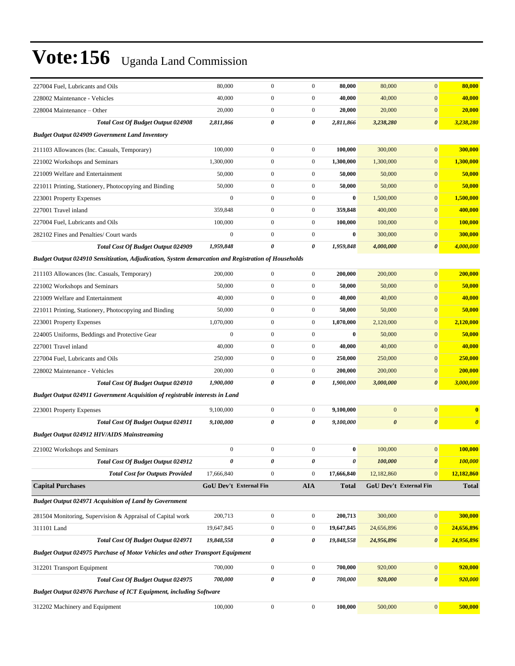| 227004 Fuel, Lubricants and Oils                                                                    | 80,000                        | $\boldsymbol{0}$ | $\boldsymbol{0}$ | 80,000       | 80,000                | $\mathbf{0}$           | 80,000                  |
|-----------------------------------------------------------------------------------------------------|-------------------------------|------------------|------------------|--------------|-----------------------|------------------------|-------------------------|
| 228002 Maintenance - Vehicles                                                                       | 40,000                        | $\boldsymbol{0}$ | $\boldsymbol{0}$ | 40,000       | 40,000                | $\boldsymbol{0}$       | 40,000                  |
| 228004 Maintenance – Other                                                                          | 20,000                        | $\mathbf{0}$     | $\boldsymbol{0}$ | 20,000       | 20,000                | $\overline{0}$         | 20,000                  |
| <b>Total Cost Of Budget Output 024908</b>                                                           | 2,811,866                     | 0                | 0                | 2,811,866    | 3,238,280             | $\boldsymbol{\theta}$  | 3,238,280               |
| <b>Budget Output 024909 Government Land Inventory</b>                                               |                               |                  |                  |              |                       |                        |                         |
| 211103 Allowances (Inc. Casuals, Temporary)                                                         | 100,000                       | $\boldsymbol{0}$ | $\boldsymbol{0}$ | 100,000      | 300,000               | $\mathbf{0}$           | 300,000                 |
| 221002 Workshops and Seminars                                                                       | 1,300,000                     | $\boldsymbol{0}$ | $\boldsymbol{0}$ | 1,300,000    | 1,300,000             | $\mathbf{0}$           | 1,300,000               |
| 221009 Welfare and Entertainment                                                                    | 50,000                        | $\boldsymbol{0}$ | $\boldsymbol{0}$ | 50,000       | 50,000                | $\mathbf{0}$           | 50,000                  |
| 221011 Printing, Stationery, Photocopying and Binding                                               | 50,000                        | $\mathbf{0}$     | $\boldsymbol{0}$ | 50,000       | 50,000                | $\mathbf{0}$           | 50,000                  |
| 223001 Property Expenses                                                                            | $\boldsymbol{0}$              | $\boldsymbol{0}$ | $\boldsymbol{0}$ | $\bf{0}$     | 1,500,000             | $\mathbf{0}$           | 1,500,000               |
| 227001 Travel inland                                                                                | 359,848                       | $\boldsymbol{0}$ | $\boldsymbol{0}$ | 359,848      | 400,000               | $\mathbf{0}$           | 400,000                 |
| 227004 Fuel, Lubricants and Oils                                                                    | 100,000                       | $\boldsymbol{0}$ | $\boldsymbol{0}$ | 100,000      | 100,000               | $\mathbf{0}$           | 100,000                 |
| 282102 Fines and Penalties/ Court wards                                                             | $\mathbf{0}$                  | $\overline{0}$   | $\boldsymbol{0}$ | $\bf{0}$     | 300,000               | $\mathbf{0}$           | 300,000                 |
| Total Cost Of Budget Output 024909                                                                  | 1,959,848                     | 0                | 0                | 1,959,848    | 4,000,000             | $\boldsymbol{\theta}$  | 4,000,000               |
| Budget Output 024910 Sensitization, Adjudication, System demarcation and Registration of Households |                               |                  |                  |              |                       |                        |                         |
| 211103 Allowances (Inc. Casuals, Temporary)                                                         | 200,000                       | $\overline{0}$   | $\boldsymbol{0}$ | 200,000      | 200,000               | $\overline{0}$         | 200,000                 |
| 221002 Workshops and Seminars                                                                       | 50,000                        | $\boldsymbol{0}$ | $\boldsymbol{0}$ | 50,000       | 50,000                | $\mathbf{0}$           | 50,000                  |
| 221009 Welfare and Entertainment                                                                    | 40,000                        | $\boldsymbol{0}$ | $\boldsymbol{0}$ | 40,000       | 40,000                | $\boldsymbol{0}$       | 40,000                  |
| 221011 Printing, Stationery, Photocopying and Binding                                               | 50,000                        | $\boldsymbol{0}$ | $\boldsymbol{0}$ | 50,000       | 50,000                | $\mathbf{0}$           | 50,000                  |
| 223001 Property Expenses                                                                            | 1,070,000                     | $\boldsymbol{0}$ | $\boldsymbol{0}$ | 1,070,000    | 2,120,000             | $\mathbf{0}$           | 2,120,000               |
| 224005 Uniforms, Beddings and Protective Gear                                                       | $\mathbf{0}$                  | $\boldsymbol{0}$ | $\boldsymbol{0}$ | $\bf{0}$     | 50,000                | $\mathbf{0}$           | 50,000                  |
| 227001 Travel inland                                                                                | 40,000                        | $\boldsymbol{0}$ | $\boldsymbol{0}$ | 40,000       | 40,000                | $\mathbf{0}$           | 40,000                  |
| 227004 Fuel, Lubricants and Oils                                                                    | 250,000                       | $\boldsymbol{0}$ | $\boldsymbol{0}$ | 250,000      | 250,000               | $\boldsymbol{0}$       | 250,000                 |
| 228002 Maintenance - Vehicles                                                                       | 200,000                       | $\boldsymbol{0}$ | $\boldsymbol{0}$ | 200,000      | 200,000               | $\boldsymbol{0}$       | 200,000                 |
| Total Cost Of Budget Output 024910                                                                  | 1,900,000                     | 0                | 0                | 1,900,000    | 3,000,000             | $\boldsymbol{\theta}$  | 3,000,000               |
| <b>Budget Output 024911 Government Acquisition of registrable interests in Land</b>                 |                               |                  |                  |              |                       |                        |                         |
| 223001 Property Expenses                                                                            | 9,100,000                     | $\boldsymbol{0}$ | $\boldsymbol{0}$ | 9,100,000    | $\boldsymbol{0}$      | $\boldsymbol{0}$       | $\overline{\mathbf{0}}$ |
| <b>Total Cost Of Budget Output 024911</b>                                                           | 9,100,000                     | 0                | 0                | 9,100,000    | $\boldsymbol{\theta}$ | $\pmb{\theta}$         | $\boldsymbol{\theta}$   |
| <b>Budget Output 024912 HIV/AIDS Mainstreaming</b>                                                  |                               |                  |                  |              |                       |                        |                         |
| 221002 Workshops and Seminars                                                                       | $\boldsymbol{0}$              | $\boldsymbol{0}$ | $\boldsymbol{0}$ | $\bf{0}$     | 100,000               | $\mathbf{0}$           | 100,000                 |
| <b>Total Cost Of Budget Output 024912</b>                                                           | 0                             | 0                | $\pmb{\theta}$   | 0            | 100,000               | $\pmb{\theta}$         | 100,000                 |
| <b>Total Cost for Outputs Provided</b>                                                              | 17,666,840                    | $\mathbf{0}$     | $\boldsymbol{0}$ | 17,666,840   | 12,182,860            | $\boldsymbol{0}$       | 12,182,860              |
| <b>Capital Purchases</b>                                                                            | <b>GoU Dev't External Fin</b> |                  | <b>AIA</b>       | <b>Total</b> |                       | GoU Dev't External Fin | <b>Total</b>            |
| <b>Budget Output 024971 Acquisition of Land by Government</b>                                       |                               |                  |                  |              |                       |                        |                         |
| 281504 Monitoring, Supervision & Appraisal of Capital work                                          | 200,713                       | $\boldsymbol{0}$ | $\boldsymbol{0}$ | 200,713      | 300,000               | $\boldsymbol{0}$       | 300,000                 |
| 311101 Land                                                                                         | 19,647,845                    | $\boldsymbol{0}$ | $\boldsymbol{0}$ | 19,647,845   | 24,656,896            | $\boldsymbol{0}$       | 24,656,896              |
| Total Cost Of Budget Output 024971                                                                  | 19,848,558                    | 0                | 0                | 19,848,558   | 24,956,896            | $\boldsymbol{\theta}$  | 24,956,896              |
| <b>Budget Output 024975 Purchase of Motor Vehicles and other Transport Equipment</b>                |                               |                  |                  |              |                       |                        |                         |
|                                                                                                     |                               |                  |                  |              |                       |                        |                         |
| 312201 Transport Equipment                                                                          | 700,000                       | $\boldsymbol{0}$ | $\boldsymbol{0}$ | 700,000      | 920,000               | $\boldsymbol{0}$       | 920,000                 |
| Total Cost Of Budget Output 024975                                                                  | 700,000                       | 0                | 0                | 700,000      | 920,000               | $\boldsymbol{\theta}$  | 920,000                 |
| <b>Budget Output 024976 Purchase of ICT Equipment, including Software</b>                           |                               |                  |                  |              |                       |                        |                         |
| 312202 Machinery and Equipment                                                                      | 100,000                       | $\boldsymbol{0}$ | $\boldsymbol{0}$ | 100,000      | 500,000               | $\mathbf{0}$           | 500,000                 |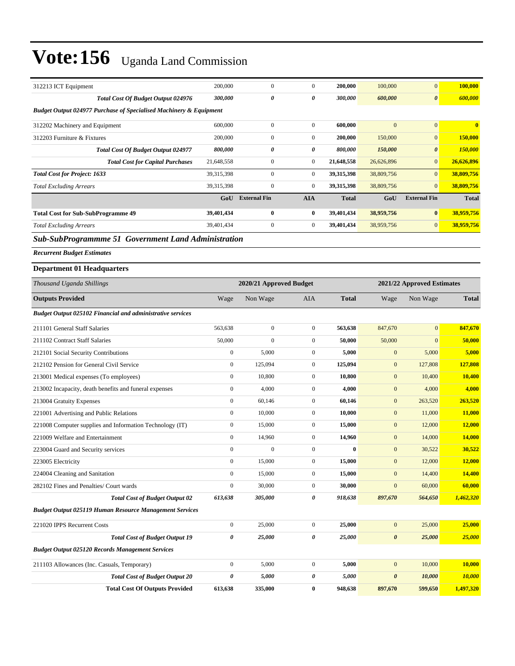| 312213 ICT Equipment                                                          | 200,000                                               | $\boldsymbol{0}$    | $\overline{0}$   | 200,000      | 100,000          | $\mathbf{0}$          | 100,000       |  |
|-------------------------------------------------------------------------------|-------------------------------------------------------|---------------------|------------------|--------------|------------------|-----------------------|---------------|--|
| Total Cost Of Budget Output 024976                                            | 300,000                                               | 0                   | 0                | 300,000      | 600,000          | $\boldsymbol{\theta}$ | 600,000       |  |
| <b>Budget Output 024977 Purchase of Specialised Machinery &amp; Equipment</b> |                                                       |                     |                  |              |                  |                       |               |  |
| 312202 Machinery and Equipment                                                | 600,000                                               | $\boldsymbol{0}$    | $\boldsymbol{0}$ | 600,000      | $\mathbf{0}$     | $\mathbf{0}$          | $\bf{0}$      |  |
| 312203 Furniture & Fixtures                                                   | 200,000                                               | $\mathbf{0}$        | $\boldsymbol{0}$ | 200,000      | 150,000          | $\mathbf{0}$          | 150,000       |  |
| <b>Total Cost Of Budget Output 024977</b>                                     | 800,000                                               | 0                   | 0                | 800,000      | 150,000          | $\boldsymbol{\theta}$ | 150,000       |  |
| <b>Total Cost for Capital Purchases</b>                                       | 21,648,558                                            | $\boldsymbol{0}$    | $\boldsymbol{0}$ | 21,648,558   | 26,626,896       | $\mathbf{0}$          | 26,626,896    |  |
| <b>Total Cost for Project: 1633</b>                                           | 39,315,398                                            | $\boldsymbol{0}$    | $\boldsymbol{0}$ | 39,315,398   | 38,809,756       | $\mathbf{0}$          | 38,809,756    |  |
| <b>Total Excluding Arrears</b>                                                | 39,315,398                                            | $\boldsymbol{0}$    | $\boldsymbol{0}$ | 39,315,398   | 38,809,756       | $\mathbf{0}$          | 38,809,756    |  |
|                                                                               | GoU                                                   | <b>External Fin</b> | <b>AIA</b>       | <b>Total</b> | GoU              | <b>External Fin</b>   | <b>Total</b>  |  |
| <b>Total Cost for Sub-SubProgramme 49</b>                                     | 39,401,434                                            | $\bf{0}$            | $\bf{0}$         | 39,401,434   | 38,959,756       | $\bf{0}$              | 38,959,756    |  |
| <b>Total Excluding Arrears</b>                                                | 39,401,434                                            | $\mathbf{0}$        | $\boldsymbol{0}$ | 39,401,434   | 38,959,756       | $\mathbf{0}$          | 38,959,756    |  |
| Sub-SubProgrammme 51 Government Land Administration                           |                                                       |                     |                  |              |                  |                       |               |  |
| <b>Recurrent Budget Estimates</b>                                             |                                                       |                     |                  |              |                  |                       |               |  |
| <b>Department 01 Headquarters</b>                                             |                                                       |                     |                  |              |                  |                       |               |  |
| Thousand Uganda Shillings                                                     | 2020/21 Approved Budget<br>2021/22 Approved Estimates |                     |                  |              |                  |                       |               |  |
| <b>Outputs Provided</b>                                                       | Wage                                                  | Non Wage            | AIA              | <b>Total</b> | Wage             | Non Wage              | <b>Total</b>  |  |
| <b>Budget Output 025102 Financial and administrative services</b>             |                                                       |                     |                  |              |                  |                       |               |  |
| 211101 General Staff Salaries                                                 | 563,638                                               | $\boldsymbol{0}$    | $\boldsymbol{0}$ | 563,638      | 847,670          | $\mathbf{0}$          | 847,670       |  |
| 211102 Contract Staff Salaries                                                | 50,000                                                | $\boldsymbol{0}$    | $\boldsymbol{0}$ | 50,000       | 50,000           | $\mathbf{0}$          | 50,000        |  |
| 212101 Social Security Contributions                                          | $\boldsymbol{0}$                                      | 5,000               | $\mathbf{0}$     | 5,000        | $\boldsymbol{0}$ | 5,000                 | 5,000         |  |
| 212102 Pension for General Civil Service                                      | $\boldsymbol{0}$                                      | 125,094             | $\mathbf{0}$     | 125,094      | $\mathbf{0}$     | 127,808               | 127,808       |  |
| 213001 Medical expenses (To employees)                                        | $\boldsymbol{0}$                                      | 10,800              | $\mathbf{0}$     | 10,800       | $\mathbf{0}$     | 10,400                | 10,400        |  |
| 213002 Incapacity, death benefits and funeral expenses                        | $\boldsymbol{0}$                                      | 4,000               | $\boldsymbol{0}$ | 4,000        | $\mathbf{0}$     | 4,000                 | 4,000         |  |
| 213004 Gratuity Expenses                                                      | $\boldsymbol{0}$                                      | 60,146              | $\boldsymbol{0}$ | 60,146       | $\mathbf{0}$     | 263,520               | 263,520       |  |
| 221001 Advertising and Public Relations                                       | $\boldsymbol{0}$                                      | 10,000              | $\overline{0}$   | 10,000       | $\mathbf{0}$     | 11,000                | 11,000        |  |
| 221008 Computer supplies and Information Technology (IT)                      | $\boldsymbol{0}$                                      | 15,000              | $\mathbf{0}$     | 15,000       | $\mathbf{0}$     | 12,000                | <b>12,000</b> |  |
| 221009 Welfare and Entertainment                                              | $\boldsymbol{0}$                                      | 14,960              | $\mathbf{0}$     | 14,960       | $\mathbf{0}$     | 14,000                | 14,000        |  |
| 223004 Guard and Security services                                            | $\boldsymbol{0}$                                      | $\boldsymbol{0}$    | $\mathbf{0}$     | $\bf{0}$     | $\mathbf{0}$     | 30,522                | 30,522        |  |
| 223005 Electricity                                                            | $\boldsymbol{0}$                                      | 15,000              | $\boldsymbol{0}$ | 15,000       | $\boldsymbol{0}$ | 12,000                | 12,000        |  |
| 224004 Cleaning and Sanitation                                                | $\boldsymbol{0}$                                      | 15,000              | $\boldsymbol{0}$ | 15,000       | $\boldsymbol{0}$ | 14,400                | 14,400        |  |
| 282102 Fines and Penalties/ Court wards                                       | $\boldsymbol{0}$                                      | 30,000              | $\mathbf{0}$     | 30,000       | $\boldsymbol{0}$ | 60,000                | 60,000        |  |
| <b>Total Cost of Budget Output 02</b>                                         | 613,638                                               | 305,000             | 0                | 918,638      | 897,670          | 564,650               | 1,462,320     |  |
| <b>Budget Output 025119 Human Resource Management Services</b>                |                                                       |                     |                  |              |                  |                       |               |  |
| 221020 IPPS Recurrent Costs                                                   | $\boldsymbol{0}$                                      | 25,000              | $\mathbf{0}$     | 25,000       | $\boldsymbol{0}$ | 25,000                | 25,000        |  |
| <b>Total Cost of Budget Output 19</b>                                         | $\pmb{\theta}$                                        | 25,000              | 0                | 25,000       | $\pmb{\theta}$   | 25,000                | 25,000        |  |
| <b>Budget Output 025120 Records Management Services</b>                       |                                                       |                     |                  |              |                  |                       |               |  |
| 211103 Allowances (Inc. Casuals, Temporary)                                   | $\boldsymbol{0}$                                      | 5,000               | $\boldsymbol{0}$ | 5,000        | $\boldsymbol{0}$ | 10,000                | 10,000        |  |
| <b>Total Cost of Budget Output 20</b>                                         | $\pmb{\theta}$                                        | 5,000               | 0                | 5,000        | $\pmb{\theta}$   | 10,000                | 10,000        |  |
| <b>Total Cost Of Outputs Provided</b>                                         | 613,638                                               | 335,000             | $\bf{0}$         | 948,638      | 897,670          | 599,650               | 1,497,320     |  |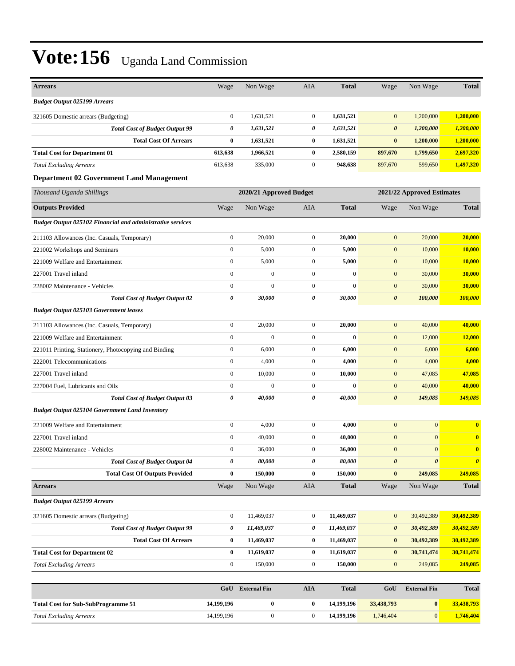| <b>Arrears</b>                                                    | Wage                  | Non Wage                | AIA              | <b>Total</b> | Wage                  | Non Wage                   | <b>Total</b>          |
|-------------------------------------------------------------------|-----------------------|-------------------------|------------------|--------------|-----------------------|----------------------------|-----------------------|
| <b>Budget Output 025199 Arrears</b>                               |                       |                         |                  |              |                       |                            |                       |
| 321605 Domestic arrears (Budgeting)                               | $\boldsymbol{0}$      | 1,631,521               | $\mathbf{0}$     | 1,631,521    | $\mathbf{0}$          | 1,200,000                  | 1,200,000             |
| <b>Total Cost of Budget Output 99</b>                             | 0                     | 1,631,521               | 0                | 1,631,521    | $\boldsymbol{\theta}$ | 1,200,000                  | 1,200,000             |
| <b>Total Cost Of Arrears</b>                                      | $\bf{0}$              | 1,631,521               | $\bf{0}$         | 1,631,521    | $\bf{0}$              | 1,200,000                  | 1,200,000             |
| <b>Total Cost for Department 01</b>                               | 613,638               | 1,966,521               | $\bf{0}$         | 2,580,159    | 897,670               | 1,799,650                  | 2,697,320             |
| <b>Total Excluding Arrears</b>                                    | 613,638               | 335,000                 | $\mathbf{0}$     | 948,638      | 897,670               | 599,650                    | 1,497,320             |
| <b>Department 02 Government Land Management</b>                   |                       |                         |                  |              |                       |                            |                       |
| Thousand Uganda Shillings                                         |                       | 2020/21 Approved Budget |                  |              |                       | 2021/22 Approved Estimates |                       |
| <b>Outputs Provided</b>                                           | Wage                  | Non Wage                | AIA              | <b>Total</b> | Wage                  | Non Wage                   | <b>Total</b>          |
| <b>Budget Output 025102 Financial and administrative services</b> |                       |                         |                  |              |                       |                            |                       |
| 211103 Allowances (Inc. Casuals, Temporary)                       | $\boldsymbol{0}$      | 20,000                  | $\boldsymbol{0}$ | 20,000       | $\mathbf{0}$          | 20,000                     | 20,000                |
| 221002 Workshops and Seminars                                     | $\boldsymbol{0}$      | 5,000                   | $\boldsymbol{0}$ | 5,000        | $\mathbf{0}$          | 10,000                     | 10,000                |
| 221009 Welfare and Entertainment                                  | $\mathbf{0}$          | 5,000                   | $\overline{0}$   | 5,000        | $\mathbf{0}$          | 10,000                     | 10,000                |
| 227001 Travel inland                                              | $\mathbf{0}$          | $\overline{0}$          | $\mathbf{0}$     | $\bf{0}$     | $\mathbf{0}$          | 30,000                     | 30,000                |
| 228002 Maintenance - Vehicles                                     | $\boldsymbol{0}$      | $\mathbf{0}$            | $\mathbf{0}$     | $\bf{0}$     | $\mathbf{0}$          | 30,000                     | 30,000                |
| <b>Total Cost of Budget Output 02</b>                             | $\boldsymbol{\theta}$ | 30,000                  | 0                | 30,000       | $\boldsymbol{\theta}$ | 100,000                    | 100,000               |
| <b>Budget Output 025103 Government leases</b>                     |                       |                         |                  |              |                       |                            |                       |
| 211103 Allowances (Inc. Casuals, Temporary)                       | $\boldsymbol{0}$      | 20,000                  | $\mathbf{0}$     | 20,000       | $\mathbf{0}$          | 40,000                     | 40,000                |
| 221009 Welfare and Entertainment                                  | $\boldsymbol{0}$      | $\overline{0}$          | $\boldsymbol{0}$ | $\bf{0}$     | $\mathbf{0}$          | 12,000                     | 12,000                |
| 221011 Printing, Stationery, Photocopying and Binding             | $\mathbf{0}$          | 6,000                   | $\mathbf{0}$     | 6,000        | $\mathbf{0}$          | 6,000                      | 6,000                 |
| 222001 Telecommunications                                         | $\mathbf{0}$          | 4,000                   | $\mathbf{0}$     | 4,000        | $\mathbf{0}$          | 4,000                      | 4,000                 |
| 227001 Travel inland                                              | $\mathbf{0}$          | 10,000                  | $\overline{0}$   | 10,000       | $\mathbf{0}$          | 47,085                     | 47,085                |
| 227004 Fuel, Lubricants and Oils                                  | $\boldsymbol{0}$      | $\mathbf{0}$            | $\mathbf{0}$     | $\bf{0}$     | $\mathbf{0}$          | 40,000                     | 40,000                |
| <b>Total Cost of Budget Output 03</b>                             | 0                     | 40,000                  | 0                | 40,000       | $\boldsymbol{\theta}$ | 149,085                    | 149,085               |
| <b>Budget Output 025104 Government Land Inventory</b>             |                       |                         |                  |              |                       |                            |                       |
| 221009 Welfare and Entertainment                                  | $\boldsymbol{0}$      | 4,000                   | $\mathbf{0}$     | 4,000        | $\mathbf{0}$          | $\mathbf{0}$               | $\bf{0}$              |
| 227001 Travel inland                                              | $\boldsymbol{0}$      | 40,000                  | $\mathbf{0}$     | 40,000       | $\mathbf{0}$          | $\mathbf{0}$               | $\bf{0}$              |
| 228002 Maintenance - Vehicles                                     | $\boldsymbol{0}$      | 36,000                  | $\boldsymbol{0}$ | 36,000       | $\mathbf{0}$          | $\mathbf{0}$               | $\bf{0}$              |
| <b>Total Cost of Budget Output 04</b>                             | 0                     | 80,000                  | 0                | 80,000       | $\boldsymbol{\theta}$ | $\boldsymbol{\theta}$      | $\boldsymbol{\theta}$ |
| <b>Total Cost Of Outputs Provided</b>                             | $\bf{0}$              | 150,000                 | $\bf{0}$         | 150,000      | $\pmb{0}$             | 249,085                    | 249,085               |
| <b>Arrears</b>                                                    | Wage                  | Non Wage                | AIA              | <b>Total</b> | Wage                  | Non Wage                   | <b>Total</b>          |
| <b>Budget Output 025199 Arrears</b>                               |                       |                         |                  |              |                       |                            |                       |
| 321605 Domestic arrears (Budgeting)                               | $\boldsymbol{0}$      | 11,469,037              | $\boldsymbol{0}$ | 11,469,037   | $\mathbf{0}$          | 30,492,389                 | 30,492,389            |
| <b>Total Cost of Budget Output 99</b>                             | 0                     | 11,469,037              | 0                | 11,469,037   | $\boldsymbol{\theta}$ | 30,492,389                 | 30,492,389            |
| <b>Total Cost Of Arrears</b>                                      | $\bf{0}$              | 11,469,037              | $\bf{0}$         | 11,469,037   | $\bf{0}$              | 30,492,389                 | 30,492,389            |
| <b>Total Cost for Department 02</b>                               | $\bf{0}$              | 11,619,037              | $\bf{0}$         | 11,619,037   | $\bf{0}$              | 30,741,474                 | 30,741,474            |
| <b>Total Excluding Arrears</b>                                    | $\boldsymbol{0}$      | 150,000                 | $\boldsymbol{0}$ | 150,000      | $\boldsymbol{0}$      | 249,085                    | 249,085               |
|                                                                   |                       |                         |                  |              |                       |                            |                       |

|                                           | GoU        | <b>External Fin</b> | AIA | <b>Total</b> | GoU        | External Fin | <b>Total</b> |
|-------------------------------------------|------------|---------------------|-----|--------------|------------|--------------|--------------|
| <b>Total Cost for Sub-SubProgramme 51</b> | 14.199.196 |                     |     | 14.199.196   | 33,438,793 |              | 33,438,793   |
| <b>Total Excluding Arrears</b>            | 14.199.196 |                     |     | 14.199.196   | 1.746,404  |              | 1,746,404    |